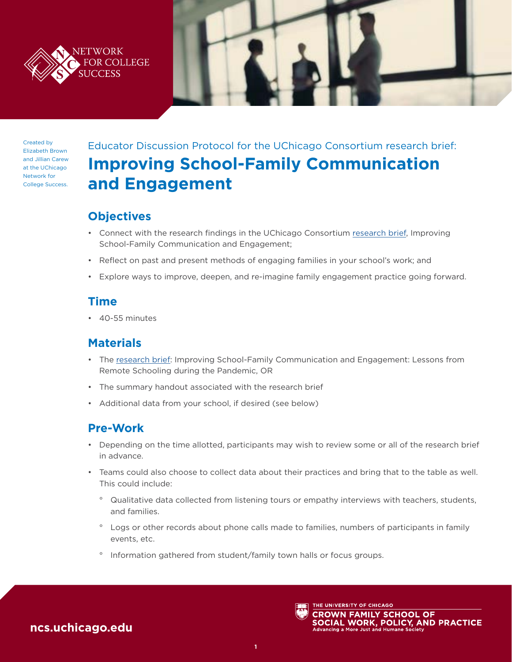



Created by Elizabeth Brown and Jillian Carew at the UChicago Network for College Success.

# Educator Discussion Protocol for the UChicago Consortium research brief: **Improving School-Family Communication and Engagement**

# **Objectives**

- Connect with the research findings in the UChicago Consortium [research brief,](https://consortium.uchicago.edu/publications/improving-school-family-communication-and-engagement) Improving School-Family Communication and Engagement;
- Reflect on past and present methods of engaging families in your school's work; and
- Explore ways to improve, deepen, and re-imagine family engagement practice going forward.

### **Time**

• 40-55 minutes

### **Materials**

- The [research brief:](https://consortium.uchicago.edu/publications/improving-school-family-communication-and-engagement) Improving School-Family Communication and Engagement: Lessons from Remote Schooling during the Pandemic, OR
- The summary handout associated with the research brief
- Additional data from your school, if desired (see below)

# **Pre-Work**

- Depending on the time allotted, participants may wish to review some or all of the research brief in advance.
- Teams could also choose to collect data about their practices and bring that to the table as well. This could include:
	- ° Qualitative data collected from listening tours or empathy interviews with teachers, students, and families.
	- ° Logs or other records about phone calls made to families, numbers of participants in family events, etc.
	- ° Information gathered from student/family town halls or focus groups.

# **[ncs.uchicago.edu](http://ncs.uchicago.edu)**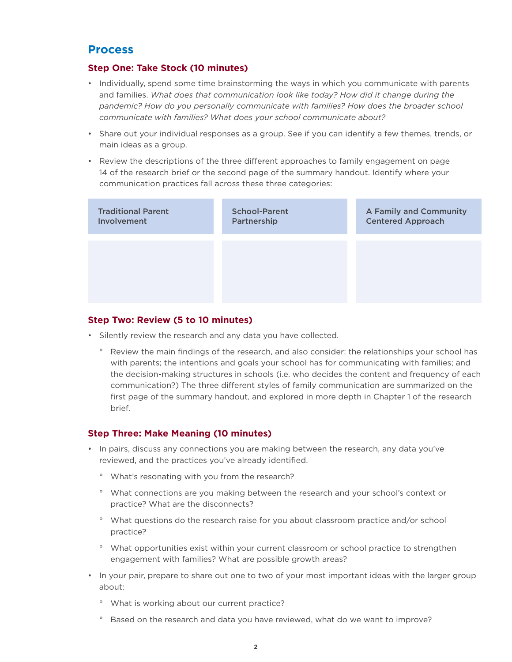### **Process**

#### **Step One: Take Stock (10 minutes)**

- Individually, spend some time brainstorming the ways in which you communicate with parents and families. *What does that communication look like today? How did it change during the pandemic? How do you personally communicate with families? How does the broader school communicate with families? What does your school communicate about?*
- Share out your individual responses as a group. See if you can identify a few themes, trends, or main ideas as a group.
- Review the descriptions of the three different approaches to family engagement on page 14 of the research brief or the second page of the summary handout. Identify where your communication practices fall across these three categories:



#### **Step Two: Review (5 to 10 minutes)**

- Silently review the research and any data you have collected.
	- ° Review the main findings of the research, and also consider: the relationships your school has with parents; the intentions and goals your school has for communicating with families; and the decision-making structures in schools (i.e. who decides the content and frequency of each communication?) The three different styles of family communication are summarized on the first page of the summary handout, and explored in more depth in Chapter 1 of the research brief.

#### **Step Three: Make Meaning (10 minutes)**

- In pairs, discuss any connections you are making between the research, any data you've reviewed, and the practices you've already identified.
	- ° What's resonating with you from the research?
	- ° What connections are you making between the research and your school's context or practice? What are the disconnects?
	- ° What questions do the research raise for you about classroom practice and/or school practice?
	- ° What opportunities exist within your current classroom or school practice to strengthen engagement with families? What are possible growth areas?
- In your pair, prepare to share out one to two of your most important ideas with the larger group about:
	- ° What is working about our current practice?
	- ° Based on the research and data you have reviewed, what do we want to improve?